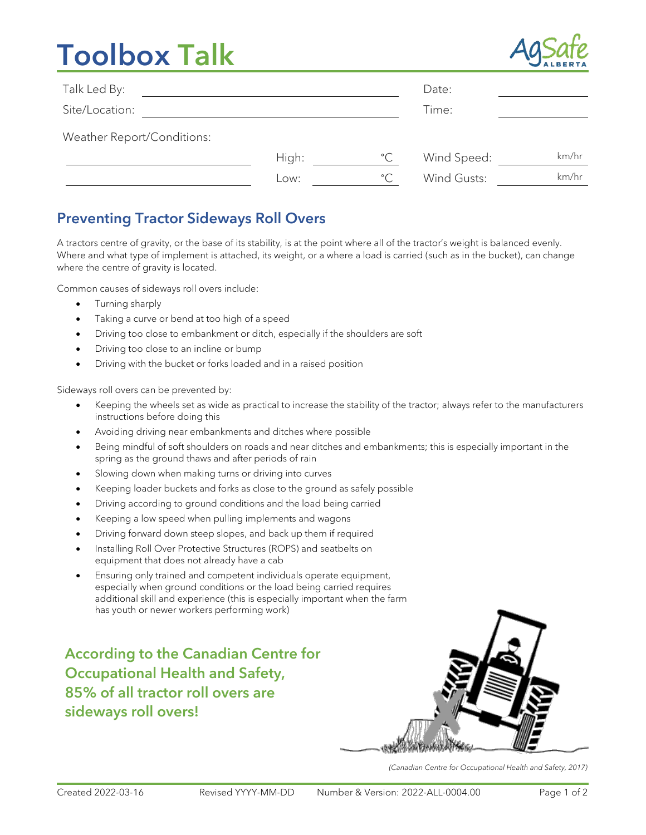# **Toolbox Talk**



| Talk Led By:               |       |              | Date:       |       |
|----------------------------|-------|--------------|-------------|-------|
| Site/Location:             |       |              | Time:       |       |
| Weather Report/Conditions: |       |              |             |       |
|                            | High: | $^{\circ}$ C | Wind Speed: | km/hr |
|                            | Low:  | $^{\circ}$ C | Wind Gusts: | km/hr |

### Preventing Tractor Sideways Roll Overs

A tractors centre of gravity, or the base of its stability, is at the point where all of the tractor's weight is balanced evenly. Where and what type of implement is attached, its weight, or a where a load is carried (such as in the bucket), can change where the centre of gravity is located.

Common causes of sideways roll overs include:

- Turning sharply
- Taking a curve or bend at too high of a speed
- Driving too close to embankment or ditch, especially if the shoulders are soft
- Driving too close to an incline or bump
- Driving with the bucket or forks loaded and in a raised position

Sideways roll overs can be prevented by:

- Keeping the wheels set as wide as practical to increase the stability of the tractor; always refer to the manufacturers instructions before doing this
- Avoiding driving near embankments and ditches where possible
- Being mindful of soft shoulders on roads and near ditches and embankments; this is especially important in the spring as the ground thaws and after periods of rain
- Slowing down when making turns or driving into curves
- Keeping loader buckets and forks as close to the ground as safely possible
- Driving according to ground conditions and the load being carried
- Keeping a low speed when pulling implements and wagons
- Driving forward down steep slopes, and back up them if required
- Installing Roll Over Protective Structures (ROPS) and seatbelts on equipment that does not already have a cab
- Ensuring only trained and competent individuals operate equipment, especially when ground conditions or the load being carried requires additional skill and experience (this is especially important when the farm has youth or newer workers performing work)

According to the Canadian Centre for Occupational Health and Safety, 85% of all tractor roll overs are sideways roll overs!



*(Canadian Centre for Occupational Health and Safety, 2017)*